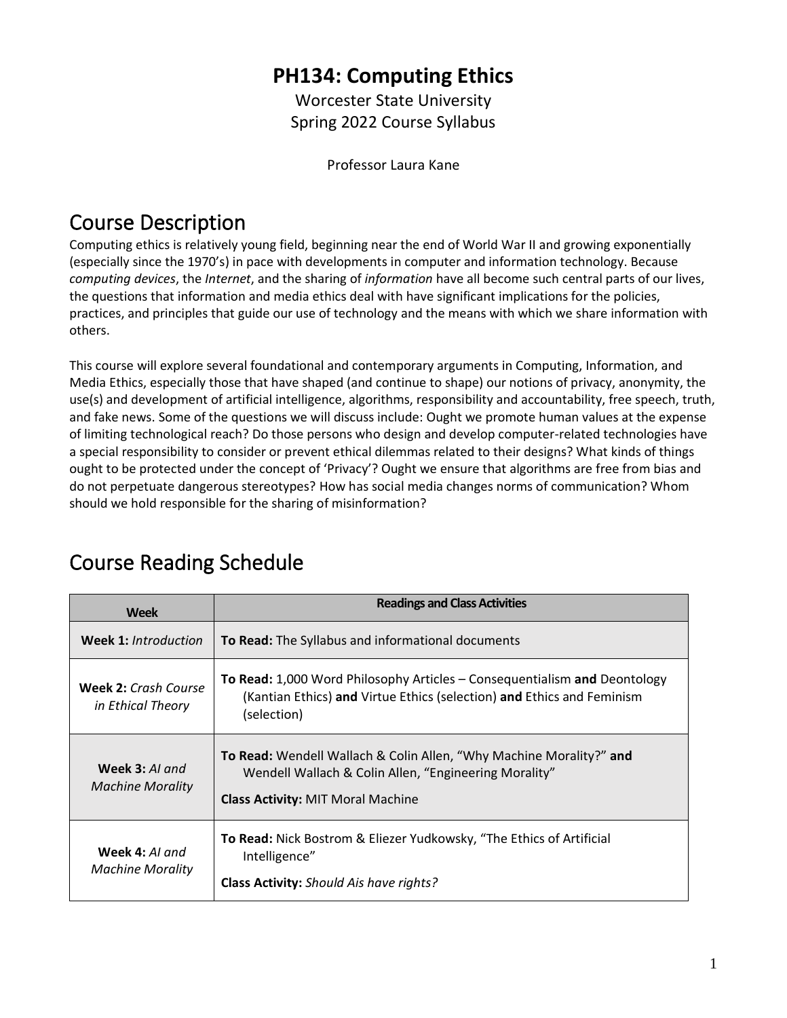## **PH134: Computing Ethics**

Worcester State University Spring 2022 Course Syllabus

Professor Laura Kane

## Course Description

Computing ethics is relatively young field, beginning near the end of World War II and growing exponentially (especially since the 1970's) in pace with developments in computer and information technology. Because *computing devices*, the *Internet*, and the sharing of *information* have all become such central parts of our lives, the questions that information and media ethics deal with have significant implications for the policies, practices, and principles that guide our use of technology and the means with which we share information with others.

This course will explore several foundational and contemporary arguments in Computing, Information, and Media Ethics, especially those that have shaped (and continue to shape) our notions of privacy, anonymity, the use(s) and development of artificial intelligence, algorithms, responsibility and accountability, free speech, truth, and fake news. Some of the questions we will discuss include: Ought we promote human values at the expense of limiting technological reach? Do those persons who design and develop computer-related technologies have a special responsibility to consider or prevent ethical dilemmas related to their designs? What kinds of things ought to be protected under the concept of 'Privacy'? Ought we ensure that algorithms are free from bias and do not perpetuate dangerous stereotypes? How has social media changes norms of communication? Whom should we hold responsible for the sharing of misinformation?

| <b>Week</b>                                      | <b>Readings and Class Activities</b>                                                                                                                                     |
|--------------------------------------------------|--------------------------------------------------------------------------------------------------------------------------------------------------------------------------|
| <b>Week 1: Introduction</b>                      | <b>To Read:</b> The Syllabus and informational documents                                                                                                                 |
| <b>Week 2: Crash Course</b><br>in Ethical Theory | To Read: 1,000 Word Philosophy Articles - Consequentialism and Deontology<br>(Kantian Ethics) and Virtue Ethics (selection) and Ethics and Feminism<br>(selection)       |
| Week 3: AI and<br><b>Machine Morality</b>        | To Read: Wendell Wallach & Colin Allen, "Why Machine Morality?" and<br>Wendell Wallach & Colin Allen, "Engineering Morality"<br><b>Class Activity: MIT Moral Machine</b> |
| Week 4: AI and<br><b>Machine Morality</b>        | To Read: Nick Bostrom & Eliezer Yudkowsky, "The Ethics of Artificial<br>Intelligence"<br>Class Activity: Should Ais have rights?                                         |

## Course Reading Schedule